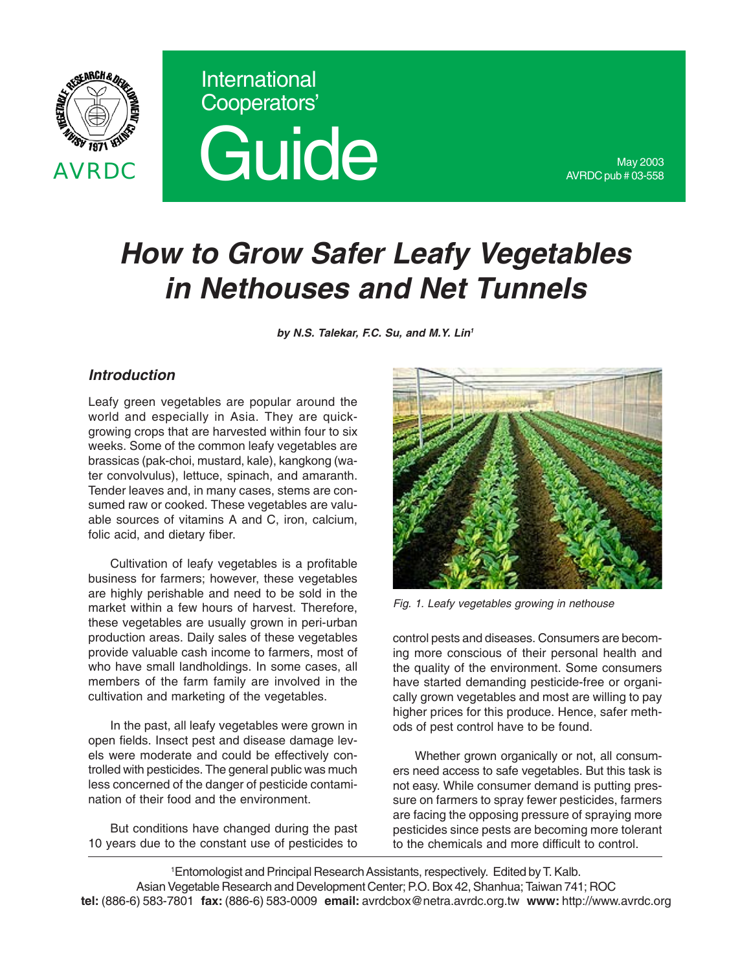



May 2003 AVRDC pub # 03-558

# *How to Grow Safer Leafy Vegetables in Nethouses and Net Tunnels*

*by N.S. Talekar, F.C. Su, and M.Y. Lin1*

### *Introduction*

Leafy green vegetables are popular around the world and especially in Asia. They are quickgrowing crops that are harvested within four to six weeks. Some of the common leafy vegetables are brassicas (pak-choi, mustard, kale), kangkong (water convolvulus), lettuce, spinach, and amaranth. Tender leaves and, in many cases, stems are consumed raw or cooked. These vegetables are valuable sources of vitamins A and C, iron, calcium, folic acid, and dietary fiber.

Cultivation of leafy vegetables is a profitable business for farmers; however, these vegetables are highly perishable and need to be sold in the market within a few hours of harvest. Therefore, these vegetables are usually grown in peri-urban production areas. Daily sales of these vegetables provide valuable cash income to farmers, most of who have small landholdings. In some cases, all members of the farm family are involved in the cultivation and marketing of the vegetables.

In the past, all leafy vegetables were grown in open fields. Insect pest and disease damage levels were moderate and could be effectively controlled with pesticides. The general public was much less concerned of the danger of pesticide contamination of their food and the environment.

But conditions have changed during the past 10 years due to the constant use of pesticides to



*Fig. 1. Leafy vegetables growing in nethouse*

control pests and diseases. Consumers are becoming more conscious of their personal health and the quality of the environment. Some consumers have started demanding pesticide-free or organically grown vegetables and most are willing to pay higher prices for this produce. Hence, safer methods of pest control have to be found.

Whether grown organically or not, all consumers need access to safe vegetables. But this task is not easy. While consumer demand is putting pressure on farmers to spray fewer pesticides, farmers are facing the opposing pressure of spraying more pesticides since pests are becoming more tolerant to the chemicals and more difficult to control.

1 Entomologist and Principal Research Assistants, respectively. Edited by T. Kalb. Asian Vegetable Research and Development Center; P.O. Box 42, Shanhua; Taiwan 741; ROC **tel:** (886-6) 583-7801 **fax:** (886-6) 583-0009 **email:** avrdcbox@netra.avrdc.org.tw **www:** http://www.avrdc.org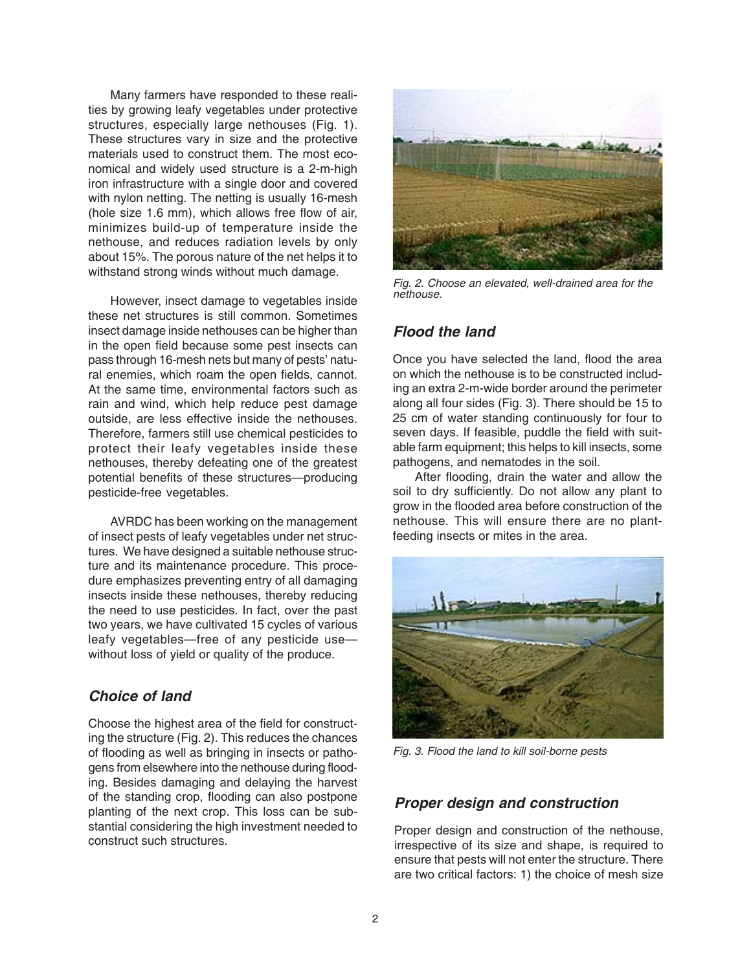Many farmers have responded to these realities by growing leafy vegetables under protective structures, especially large nethouses (Fig. 1). These structures vary in size and the protective materials used to construct them. The most economical and widely used structure is a 2-m-high iron infrastructure with a single door and covered with nylon netting. The netting is usually 16-mesh (hole size 1.6 mm), which allows free flow of air, minimizes build-up of temperature inside the nethouse, and reduces radiation levels by only about 15%. The porous nature of the net helps it to withstand strong winds without much damage.

However, insect damage to vegetables inside these net structures is still common. Sometimes insect damage inside nethouses can be higher than in the open field because some pest insects can pass through 16-mesh nets but many of pests' natural enemies, which roam the open fields, cannot. At the same time, environmental factors such as rain and wind, which help reduce pest damage outside, are less effective inside the nethouses. Therefore, farmers still use chemical pesticides to protect their leafy vegetables inside these nethouses, thereby defeating one of the greatest potential benefits of these structures—producing pesticide-free vegetables.

AVRDC has been working on the management of insect pests of leafy vegetables under net structures. We have designed a suitable nethouse structure and its maintenance procedure. This procedure emphasizes preventing entry of all damaging insects inside these nethouses, thereby reducing the need to use pesticides. In fact, over the past two years, we have cultivated 15 cycles of various leafy vegetables—free of any pesticide use without loss of yield or quality of the produce.

### *Choice of land*

Choose the highest area of the field for constructing the structure (Fig. 2). This reduces the chances of flooding as well as bringing in insects or pathogens from elsewhere into the nethouse during flooding. Besides damaging and delaying the harvest of the standing crop, flooding can also postpone planting of the next crop. This loss can be substantial considering the high investment needed to construct such structures.



*Fig. 2. Choose an elevated, well-drained area for the nethouse.*

# *Flood the land*

Once you have selected the land, flood the area on which the nethouse is to be constructed including an extra 2-m-wide border around the perimeter along all four sides (Fig. 3). There should be 15 to 25 cm of water standing continuously for four to seven days. If feasible, puddle the field with suitable farm equipment; this helps to kill insects, some pathogens, and nematodes in the soil.

After flooding, drain the water and allow the soil to dry sufficiently. Do not allow any plant to grow in the flooded area before construction of the nethouse. This will ensure there are no plantfeeding insects or mites in the area.



*Fig. 3. Flood the land to kill soil-borne pests*

#### *Proper design and construction*

Proper design and construction of the nethouse, irrespective of its size and shape, is required to ensure that pests will not enter the structure. There are two critical factors: 1) the choice of mesh size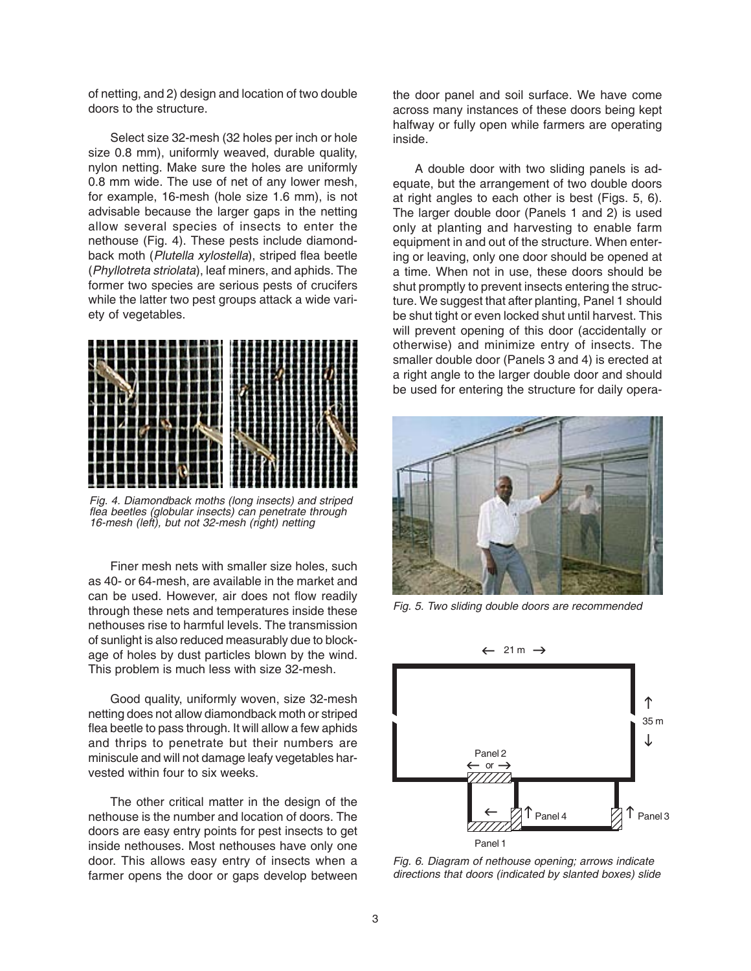of netting, and 2) design and location of two double doors to the structure.

Select size 32-mesh (32 holes per inch or hole size 0.8 mm), uniformly weaved, durable quality, nylon netting. Make sure the holes are uniformly 0.8 mm wide. The use of net of any lower mesh, for example, 16-mesh (hole size 1.6 mm), is not advisable because the larger gaps in the netting allow several species of insects to enter the nethouse (Fig. 4). These pests include diamondback moth (*Plutella xylostella*), striped flea beetle (*Phyllotreta striolata*), leaf miners, and aphids. The former two species are serious pests of crucifers while the latter two pest groups attack a wide variety of vegetables.



*Fig. 4. Diamondback moths (long insects) and striped flea beetles (globular insects) can penetrate through 16-mesh (left), but not 32-mesh (right) netting*

Finer mesh nets with smaller size holes, such as 40- or 64-mesh, are available in the market and can be used. However, air does not flow readily through these nets and temperatures inside these nethouses rise to harmful levels. The transmission of sunlight is also reduced measurably due to blockage of holes by dust particles blown by the wind. This problem is much less with size 32-mesh.

Good quality, uniformly woven, size 32-mesh netting does not allow diamondback moth or striped flea beetle to pass through. It will allow a few aphids and thrips to penetrate but their numbers are miniscule and will not damage leafy vegetables harvested within four to six weeks.

The other critical matter in the design of the nethouse is the number and location of doors. The doors are easy entry points for pest insects to get inside nethouses. Most nethouses have only one door. This allows easy entry of insects when a farmer opens the door or gaps develop between the door panel and soil surface. We have come across many instances of these doors being kept halfway or fully open while farmers are operating inside.

A double door with two sliding panels is adequate, but the arrangement of two double doors at right angles to each other is best (Figs. 5, 6). The larger double door (Panels 1 and 2) is used only at planting and harvesting to enable farm equipment in and out of the structure. When entering or leaving, only one door should be opened at a time. When not in use, these doors should be shut promptly to prevent insects entering the structure. We suggest that after planting, Panel 1 should be shut tight or even locked shut until harvest. This will prevent opening of this door (accidentally or otherwise) and minimize entry of insects. The smaller double door (Panels 3 and 4) is erected at a right angle to the larger double door and should be used for entering the structure for daily opera-



*Fig. 5. Two sliding double doors are recommended*



*Fig. 6. Diagram of nethouse opening; arrows indicate directions that doors (indicated by slanted boxes) slide*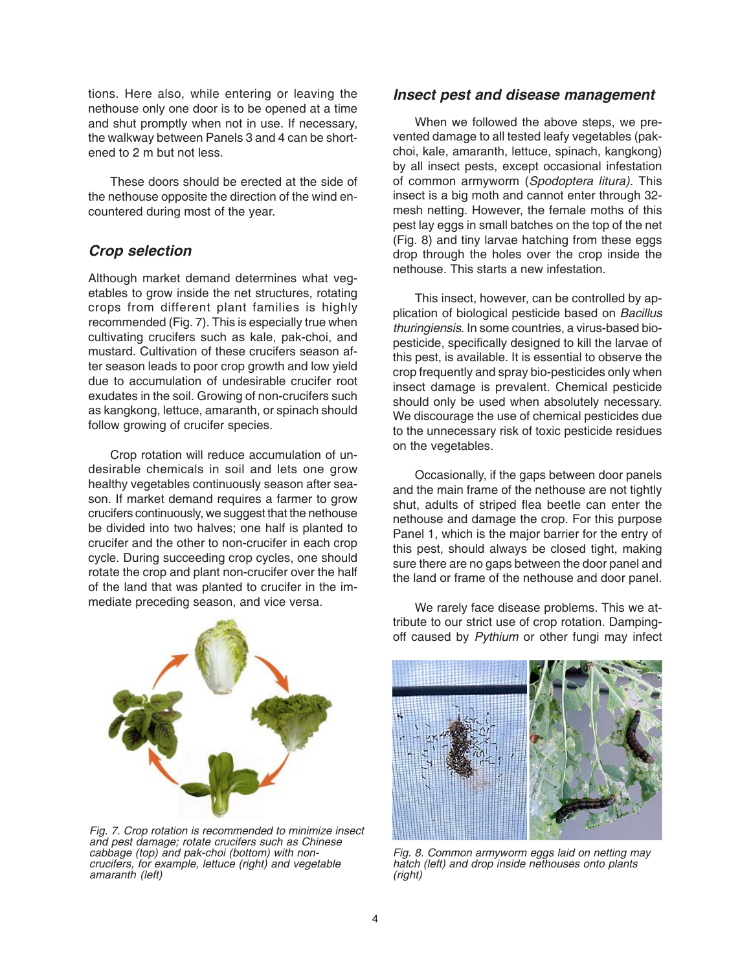tions. Here also, while entering or leaving the nethouse only one door is to be opened at a time and shut promptly when not in use. If necessary, the walkway between Panels 3 and 4 can be shortened to 2 m but not less.

These doors should be erected at the side of the nethouse opposite the direction of the wind encountered during most of the year.

## *Crop selection*

Although market demand determines what vegetables to grow inside the net structures, rotating crops from different plant families is highly recommended (Fig. 7). This is especially true when cultivating crucifers such as kale, pak-choi, and mustard. Cultivation of these crucifers season after season leads to poor crop growth and low yield due to accumulation of undesirable crucifer root exudates in the soil. Growing of non-crucifers such as kangkong, lettuce, amaranth, or spinach should follow growing of crucifer species.

Crop rotation will reduce accumulation of undesirable chemicals in soil and lets one grow healthy vegetables continuously season after season. If market demand requires a farmer to grow crucifers continuously, we suggest that the nethouse be divided into two halves; one half is planted to crucifer and the other to non-crucifer in each crop cycle. During succeeding crop cycles, one should rotate the crop and plant non-crucifer over the half of the land that was planted to crucifer in the immediate preceding season, and vice versa.



*Fig. 7. Crop rotation is recommended to minimize insect and pest damage; rotate crucifers such as Chinese cabbage (top) and pak-choi (bottom) with noncrucifers, for example, lettuce (right) and vegetable amaranth (left)*

#### *Insect pest and disease management*

When we followed the above steps, we prevented damage to all tested leafy vegetables (pakchoi, kale, amaranth, lettuce, spinach, kangkong) by all insect pests, except occasional infestation of common armyworm (*Spodoptera litura)*. This insect is a big moth and cannot enter through 32 mesh netting. However, the female moths of this pest lay eggs in small batches on the top of the net (Fig. 8) and tiny larvae hatching from these eggs drop through the holes over the crop inside the nethouse. This starts a new infestation.

This insect, however, can be controlled by application of biological pesticide based on *Bacillus thuringiensis*. In some countries, a virus-based biopesticide, specifically designed to kill the larvae of this pest, is available. It is essential to observe the crop frequently and spray bio-pesticides only when insect damage is prevalent. Chemical pesticide should only be used when absolutely necessary. We discourage the use of chemical pesticides due to the unnecessary risk of toxic pesticide residues on the vegetables.

Occasionally, if the gaps between door panels and the main frame of the nethouse are not tightly shut, adults of striped flea beetle can enter the nethouse and damage the crop. For this purpose Panel 1, which is the major barrier for the entry of this pest, should always be closed tight, making sure there are no gaps between the door panel and the land or frame of the nethouse and door panel.

We rarely face disease problems. This we attribute to our strict use of crop rotation. Dampingoff caused by *Pythium* or other fungi may infect



*Fig. 8. Common armyworm eggs laid on netting may hatch (left) and drop inside nethouses onto plants (right)*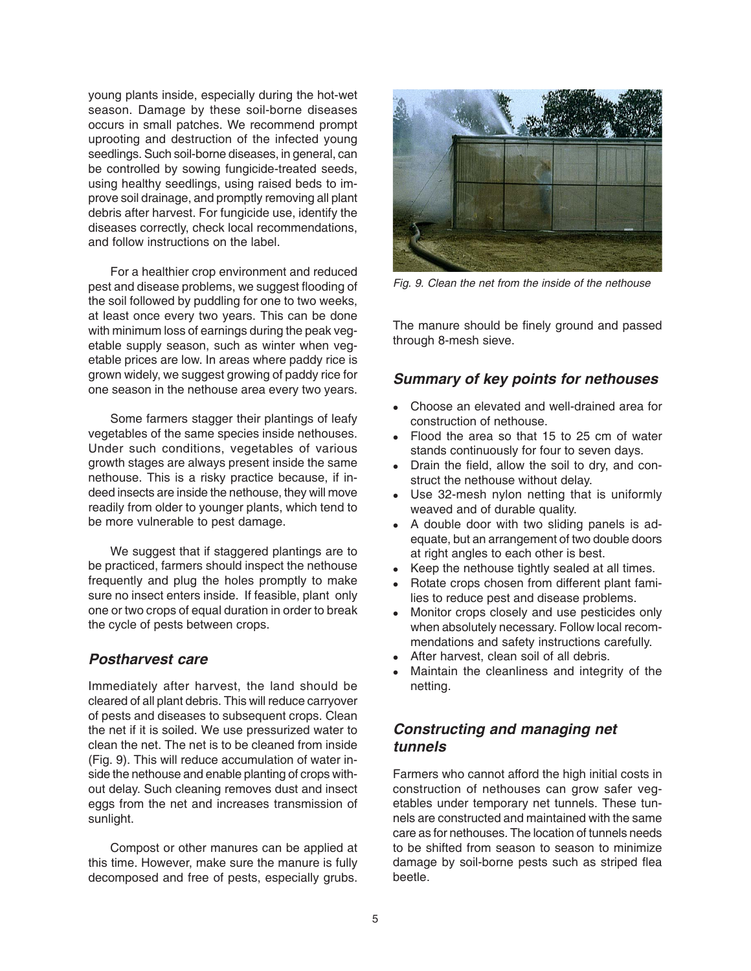young plants inside, especially during the hot-wet season. Damage by these soil-borne diseases occurs in small patches. We recommend prompt uprooting and destruction of the infected young seedlings. Such soil-borne diseases, in general, can be controlled by sowing fungicide-treated seeds, using healthy seedlings, using raised beds to improve soil drainage, and promptly removing all plant debris after harvest. For fungicide use, identify the diseases correctly, check local recommendations, and follow instructions on the label.

For a healthier crop environment and reduced pest and disease problems, we suggest flooding of the soil followed by puddling for one to two weeks, at least once every two years. This can be done with minimum loss of earnings during the peak vegetable supply season, such as winter when vegetable prices are low. In areas where paddy rice is grown widely, we suggest growing of paddy rice for one season in the nethouse area every two years.

Some farmers stagger their plantings of leafy vegetables of the same species inside nethouses. Under such conditions, vegetables of various growth stages are always present inside the same nethouse. This is a risky practice because, if indeed insects are inside the nethouse, they will move readily from older to younger plants, which tend to be more vulnerable to pest damage.

We suggest that if staggered plantings are to be practiced, farmers should inspect the nethouse frequently and plug the holes promptly to make sure no insect enters inside. If feasible, plant only one or two crops of equal duration in order to break the cycle of pests between crops.

#### *Postharvest care*

Immediately after harvest, the land should be cleared of all plant debris. This will reduce carryover of pests and diseases to subsequent crops. Clean the net if it is soiled. We use pressurized water to clean the net. The net is to be cleaned from inside (Fig. 9). This will reduce accumulation of water inside the nethouse and enable planting of crops without delay. Such cleaning removes dust and insect eggs from the net and increases transmission of sunlight.

Compost or other manures can be applied at this time. However, make sure the manure is fully decomposed and free of pests, especially grubs.



*Fig. 9. Clean the net from the inside of the nethouse*

The manure should be finely ground and passed through 8-mesh sieve.

#### *Summary of key points for nethouses*

- Choose an elevated and well-drained area for construction of nethouse.
- Flood the area so that 15 to 25 cm of water stands continuously for four to seven days.
- Drain the field, allow the soil to dry, and construct the nethouse without delay.
- Use 32-mesh nylon netting that is uniformly weaved and of durable quality.
- A double door with two sliding panels is adequate, but an arrangement of two double doors at right angles to each other is best.
- Keep the nethouse tightly sealed at all times.
- Rotate crops chosen from different plant families to reduce pest and disease problems.
- Monitor crops closely and use pesticides only when absolutely necessary. Follow local recommendations and safety instructions carefully.
- After harvest, clean soil of all debris.
- Maintain the cleanliness and integrity of the netting.

# *Constructing and managing net tunnels*

Farmers who cannot afford the high initial costs in construction of nethouses can grow safer vegetables under temporary net tunnels. These tunnels are constructed and maintained with the same care as for nethouses. The location of tunnels needs to be shifted from season to season to minimize damage by soil-borne pests such as striped flea beetle.